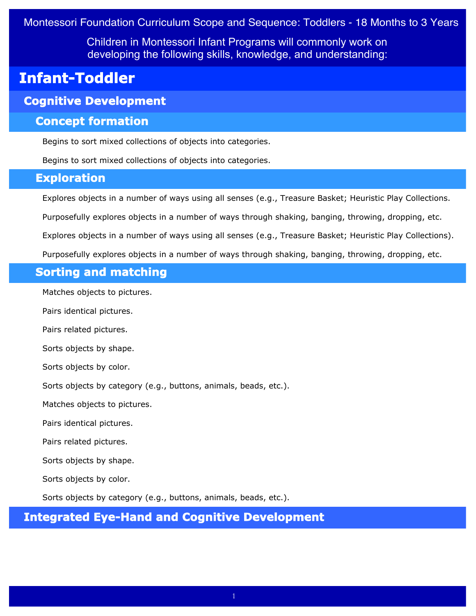Children in Montessori Infant Programs will commonly work on developing the following skills, knowledge, and understanding:

# **Infant-Toddler**

# **Cognitive Development**

### **Concept formation**

Begins to sort mixed collections of objects into categories.

Begins to sort mixed collections of objects into categories.

### **Exploration**

Explores objects in a number of ways using all senses (e.g., Treasure Basket; Heuristic Play Collections.

Purposefully explores objects in a number of ways through shaking, banging, throwing, dropping, etc.

Explores objects in a number of ways using all senses (e.g., Treasure Basket; Heuristic Play Collections).

Purposefully explores objects in a number of ways through shaking, banging, throwing, dropping, etc.

# **Sorting and matching**

Matches objects to pictures.

Pairs identical pictures.

Pairs related pictures.

Sorts objects by shape.

Sorts objects by color.

Sorts objects by category (e.g., buttons, animals, beads, etc.).

Matches objects to pictures.

Pairs identical pictures.

Pairs related pictures.

Sorts objects by shape.

Sorts objects by color.

Sorts objects by category (e.g., buttons, animals, beads, etc.).

# **Integrated Eye-Hand and Cognitive Development**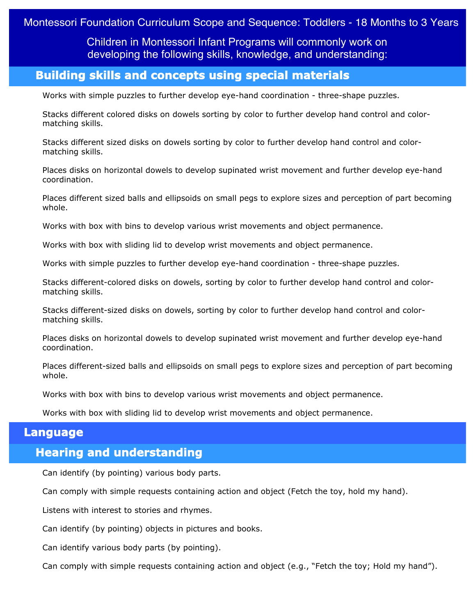Children in Montessori Infant Programs will commonly work on developing the following skills, knowledge, and understanding:

# **Building skills and concepts using special materials**

Works with simple puzzles to further develop eye-hand coordination - three-shape puzzles.

Stacks different colored disks on dowels sorting by color to further develop hand control and colormatching skills.

Stacks different sized disks on dowels sorting by color to further develop hand control and colormatching skills.

Places disks on horizontal dowels to develop supinated wrist movement and further develop eye-hand coordination.

Places different sized balls and ellipsoids on small pegs to explore sizes and perception of part becoming whole.

Works with box with bins to develop various wrist movements and object permanence.

Works with box with sliding lid to develop wrist movements and object permanence.

Works with simple puzzles to further develop eye-hand coordination - three-shape puzzles.

Stacks different-colored disks on dowels, sorting by color to further develop hand control and colormatching skills.

Stacks different-sized disks on dowels, sorting by color to further develop hand control and colormatching skills.

Places disks on horizontal dowels to develop supinated wrist movement and further develop eye-hand coordination.

Places different-sized balls and ellipsoids on small pegs to explore sizes and perception of part becoming whole.

Works with box with bins to develop various wrist movements and object permanence.

Works with box with sliding lid to develop wrist movements and object permanence.

#### **Language**

### **Hearing and understanding**

Can identify (by pointing) various body parts.

Can comply with simple requests containing action and object (Fetch the toy, hold my hand).

Listens with interest to stories and rhymes.

Can identify (by pointing) objects in pictures and books.

Can identify various body parts (by pointing).

Can comply with simple requests containing action and object (e.g., "Fetch the toy; Hold my hand").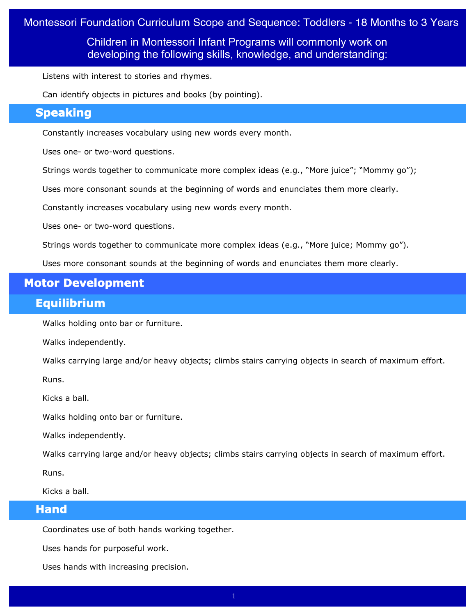Children in Montessori Infant Programs will commonly work on developing the following skills, knowledge, and understanding:

Listens with interest to stories and rhymes.

Can identify objects in pictures and books (by pointing).

# **Speaking**

Constantly increases vocabulary using new words every month.

Uses one- or two-word questions.

Strings words together to communicate more complex ideas (e.g., "More juice"; "Mommy go");

Uses more consonant sounds at the beginning of words and enunciates them more clearly.

Constantly increases vocabulary using new words every month.

Uses one- or two-word questions.

Strings words together to communicate more complex ideas (e.g., "More juice; Mommy go").

Uses more consonant sounds at the beginning of words and enunciates them more clearly.

### **Motor Development**

### **Equilibrium**

Walks holding onto bar or furniture.

Walks independently.

Walks carrying large and/or heavy objects; climbs stairs carrying objects in search of maximum effort.

Runs.

Kicks a ball.

Walks holding onto bar or furniture.

Walks independently.

Walks carrying large and/or heavy objects; climbs stairs carrying objects in search of maximum effort.

Runs.

Kicks a ball.

#### **Hand**

Coordinates use of both hands working together.

Uses hands for purposeful work.

Uses hands with increasing precision.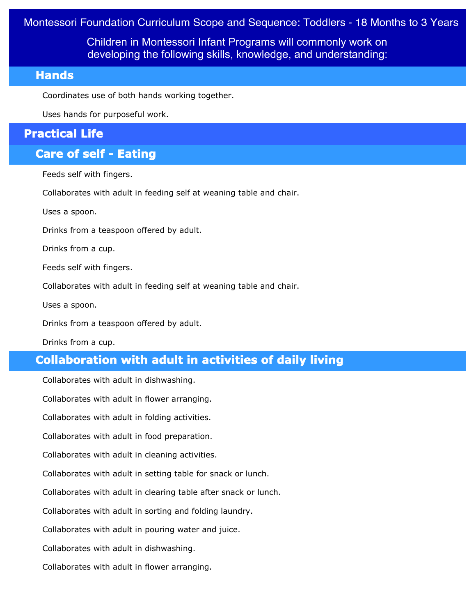Children in Montessori Infant Programs will commonly work on developing the following skills, knowledge, and understanding:

#### **Hands**

Coordinates use of both hands working together.

Uses hands for purposeful work.

# **Practical Life**

# **Care of self - Eating**

Feeds self with fingers.

Collaborates with adult in feeding self at weaning table and chair.

Uses a spoon.

Drinks from a teaspoon offered by adult.

Drinks from a cup.

Feeds self with fingers.

Collaborates with adult in feeding self at weaning table and chair.

Uses a spoon.

Drinks from a teaspoon offered by adult.

Drinks from a cup.

# **Collaboration with adult in activities of daily living**

Collaborates with adult in dishwashing.

Collaborates with adult in flower arranging.

Collaborates with adult in folding activities.

Collaborates with adult in food preparation.

Collaborates with adult in cleaning activities.

Collaborates with adult in setting table for snack or lunch.

Collaborates with adult in clearing table after snack or lunch.

Collaborates with adult in sorting and folding laundry.

Collaborates with adult in pouring water and juice.

Collaborates with adult in dishwashing.

Collaborates with adult in flower arranging.